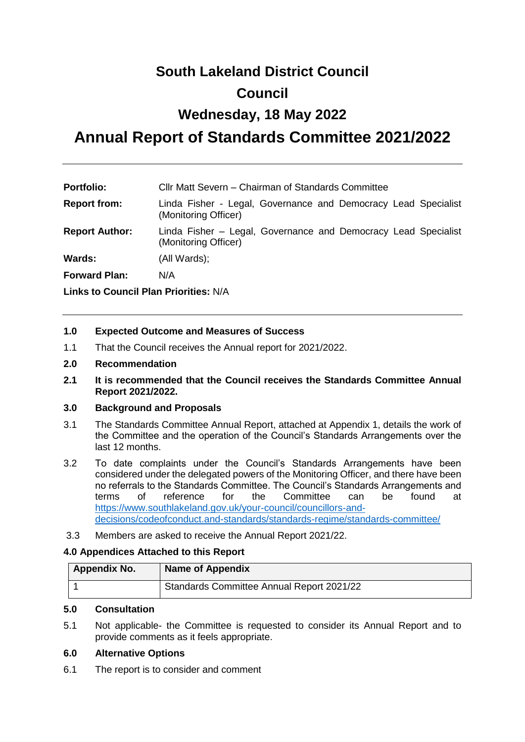## **South Lakeland District Council Council**

# **Wednesday, 18 May 2022**

# **Annual Report of Standards Committee 2021/2022**

| <b>Portfolio:</b>                     | Cllr Matt Severn – Chairman of Standards Committee                                     |  |  |  |
|---------------------------------------|----------------------------------------------------------------------------------------|--|--|--|
| <b>Report from:</b>                   | Linda Fisher - Legal, Governance and Democracy Lead Specialist<br>(Monitoring Officer) |  |  |  |
| <b>Report Author:</b>                 | Linda Fisher – Legal, Governance and Democracy Lead Specialist<br>(Monitoring Officer) |  |  |  |
| Wards:                                | (All Wards);                                                                           |  |  |  |
| <b>Forward Plan:</b>                  | N/A                                                                                    |  |  |  |
| Links to Council Plan Priorities: N/A |                                                                                        |  |  |  |

#### **1.0 Expected Outcome and Measures of Success**

1.1 That the Council receives the Annual report for 2021/2022.

#### **2.0 Recommendation**

**2.1 It is recommended that the Council receives the Standards Committee Annual Report 2021/2022.**

#### **3.0 Background and Proposals**

- 3.1 The Standards Committee Annual Report, attached at Appendix 1, details the work of the Committee and the operation of the Council's Standards Arrangements over the last 12 months.
- 3.2 To date complaints under the Council's Standards Arrangements have been considered under the delegated powers of the Monitoring Officer, and there have been no referrals to the Standards Committee. The Council's Standards Arrangements and terms of reference for the Committee can be found at [https://www.southlakeland.gov.uk/your-council/councillors-and](https://www.southlakeland.gov.uk/your-council/councillors-and-decisions/codeofconduct.and-standards/standards-regime/standards-committee/)[decisions/codeofconduct.and-standards/standards-regime/standards-committee/](https://www.southlakeland.gov.uk/your-council/councillors-and-decisions/codeofconduct.and-standards/standards-regime/standards-committee/)
- 3.3 Members are asked to receive the Annual Report 2021/22.

#### **4.0 Appendices Attached to this Report**

| <b>Appendix No.</b> | <b>Name of Appendix</b>                   |
|---------------------|-------------------------------------------|
|                     | Standards Committee Annual Report 2021/22 |

#### **5.0 Consultation**

5.1 Not applicable- the Committee is requested to consider its Annual Report and to provide comments as it feels appropriate.

#### **6.0 Alternative Options**

6.1 The report is to consider and comment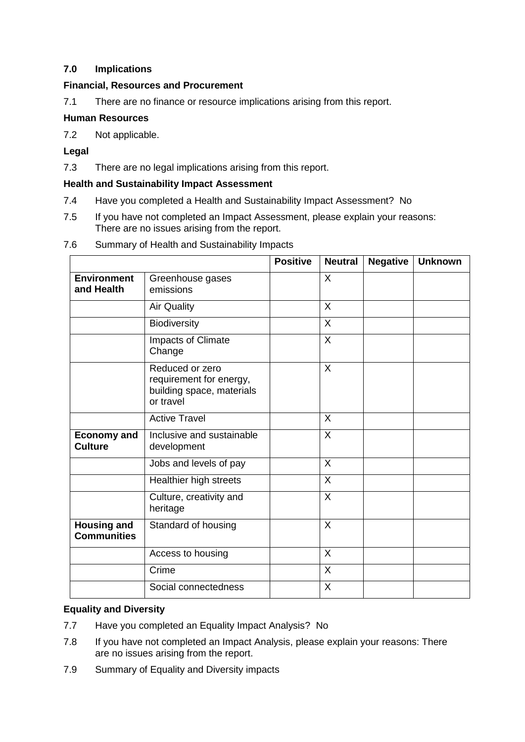## **7.0 Implications**

### **Financial, Resources and Procurement**

7.1 There are no finance or resource implications arising from this report.

#### **Human Resources**

7.2 Not applicable.

### **Legal**

7.3 There are no legal implications arising from this report.

#### **Health and Sustainability Impact Assessment**

- 7.4 Have you completed a Health and Sustainability Impact Assessment? No
- 7.5 If you have not completed an Impact Assessment, please explain your reasons: There are no issues arising from the report.

| 7.6 |  | Summary of Health and Sustainability Impacts |  |
|-----|--|----------------------------------------------|--|
|     |  |                                              |  |

|                                          |                                                                                      | <b>Positive</b> | <b>Neutral</b> | <b>Negative</b> | <b>Unknown</b> |
|------------------------------------------|--------------------------------------------------------------------------------------|-----------------|----------------|-----------------|----------------|
| <b>Environment</b><br>and Health         | Greenhouse gases<br>emissions                                                        |                 | $\sf X$        |                 |                |
|                                          | <b>Air Quality</b>                                                                   |                 | $\sf X$        |                 |                |
|                                          | Biodiversity                                                                         |                 | $\sf X$        |                 |                |
|                                          | Impacts of Climate<br>Change                                                         |                 | $\sf X$        |                 |                |
|                                          | Reduced or zero<br>requirement for energy,<br>building space, materials<br>or travel |                 | $\sf X$        |                 |                |
|                                          | <b>Active Travel</b>                                                                 |                 | $\sf X$        |                 |                |
| <b>Economy and</b><br><b>Culture</b>     | Inclusive and sustainable<br>development                                             |                 | $\sf X$        |                 |                |
|                                          | Jobs and levels of pay                                                               |                 | $\sf X$        |                 |                |
|                                          | Healthier high streets                                                               |                 | $\sf X$        |                 |                |
|                                          | Culture, creativity and<br>heritage                                                  |                 | X              |                 |                |
| <b>Housing and</b><br><b>Communities</b> | Standard of housing                                                                  |                 | $\sf X$        |                 |                |
|                                          | Access to housing                                                                    |                 | $\sf X$        |                 |                |
|                                          | Crime                                                                                |                 | X              |                 |                |
|                                          | Social connectedness                                                                 |                 | $\sf X$        |                 |                |

#### **Equality and Diversity**

- 7.7 Have you completed an Equality Impact Analysis? No
- 7.8 If you have not completed an Impact Analysis, please explain your reasons: There are no issues arising from the report.
- 7.9 Summary of Equality and Diversity impacts